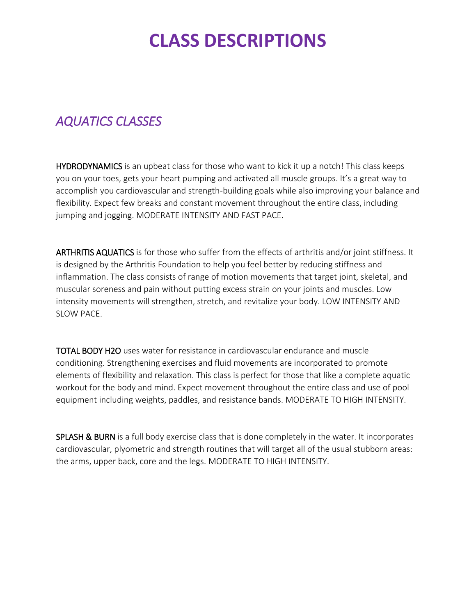## **CLASS DESCRIPTIONS**

#### *AQUATICS CLASSES*

HYDRODYNAMICS is an upbeat class for those who want to kick it up a notch! This class keeps you on your toes, gets your heart pumping and activated all muscle groups. It's a great way to accomplish you cardiovascular and strength-building goals while also improving your balance and flexibility. Expect few breaks and constant movement throughout the entire class, including jumping and jogging. MODERATE INTENSITY AND FAST PACE.

ARTHRITIS AQUATICS is for those who suffer from the effects of arthritis and/or joint stiffness. It is designed by the Arthritis Foundation to help you feel better by reducing stiffness and inflammation. The class consists of range of motion movements that target joint, skeletal, and muscular soreness and pain without putting excess strain on your joints and muscles. Low intensity movements will strengthen, stretch, and revitalize your body. LOW INTENSITY AND SLOW PACE.

TOTAL BODY H2O uses water for resistance in cardiovascular endurance and muscle conditioning. Strengthening exercises and fluid movements are incorporated to promote elements of flexibility and relaxation. This class is perfect for those that like a complete aquatic workout for the body and mind. Expect movement throughout the entire class and use of pool equipment including weights, paddles, and resistance bands. MODERATE TO HIGH INTENSITY.

SPLASH & BURN is a full body exercise class that is done completely in the water. It incorporates cardiovascular, plyometric and strength routines that will target all of the usual stubborn areas: the arms, upper back, core and the legs. MODERATE TO HIGH INTENSITY.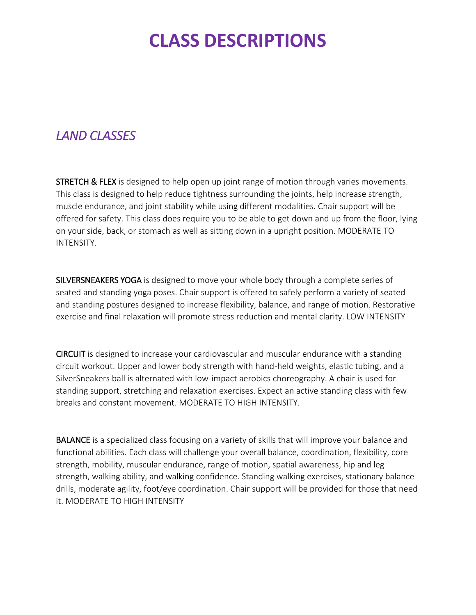## **CLASS DESCRIPTIONS**

#### *LAND CLASSES*

**STRETCH & FLEX** is designed to help open up joint range of motion through varies movements. This class is designed to help reduce tightness surrounding the joints, help increase strength, muscle endurance, and joint stability while using different modalities. Chair support will be offered for safety. This class does require you to be able to get down and up from the floor, lying on your side, back, or stomach as well as sitting down in a upright position. MODERATE TO INTENSITY.

SILVERSNEAKERS YOGA is designed to move your whole body through a complete series of seated and standing yoga poses. Chair support is offered to safely perform a variety of seated and standing postures designed to increase flexibility, balance, and range of motion. Restorative exercise and final relaxation will promote stress reduction and mental clarity. LOW INTENSITY

CIRCUIT is designed to increase your cardiovascular and muscular endurance with a standing circuit workout. Upper and lower body strength with hand-held weights, elastic tubing, and a SilverSneakers ball is alternated with low-impact aerobics choreography. A chair is used for standing support, stretching and relaxation exercises. Expect an active standing class with few breaks and constant movement. MODERATE TO HIGH INTENSITY.

BALANCE is a specialized class focusing on a variety of skills that will improve your balance and functional abilities. Each class will challenge your overall balance, coordination, flexibility, core strength, mobility, muscular endurance, range of motion, spatial awareness, hip and leg strength, walking ability, and walking confidence. Standing walking exercises, stationary balance drills, moderate agility, foot/eye coordination. Chair support will be provided for those that need it. MODERATE TO HIGH INTENSITY